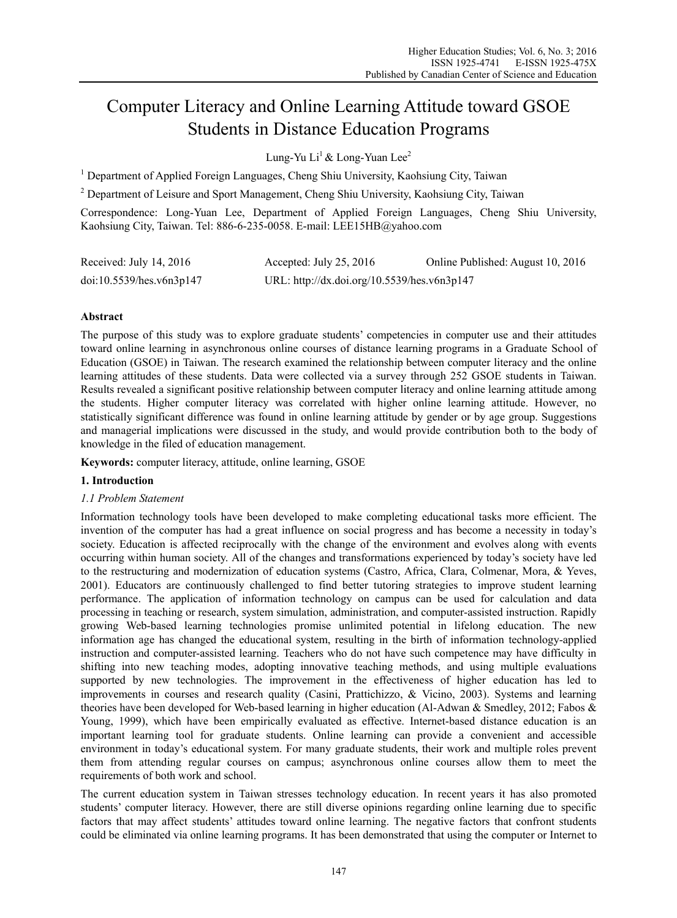# Computer Literacy and Online Learning Attitude toward GSOE Students in Distance Education Programs

Lung-Yu Li<sup>1</sup> & Long-Yuan Lee<sup>2</sup>

<sup>1</sup> Department of Applied Foreign Languages, Cheng Shiu University, Kaohsiung City, Taiwan

 $2^{2}$  Department of Leisure and Sport Management, Cheng Shiu University, Kaohsiung City, Taiwan

Correspondence: Long-Yuan Lee, Department of Applied Foreign Languages, Cheng Shiu University, Kaohsiung City, Taiwan. Tel: 886-6-235-0058. E-mail: LEE15HB@yahoo.com

| Received: July 14, 2016  | Accepted: July 25, 2016                     | Online Published: August 10, 2016 |
|--------------------------|---------------------------------------------|-----------------------------------|
| doi:10.5539/hes.v6n3p147 | URL: http://dx.doi.org/10.5539/hes.v6n3p147 |                                   |

# **Abstract**

The purpose of this study was to explore graduate students' competencies in computer use and their attitudes toward online learning in asynchronous online courses of distance learning programs in a Graduate School of Education (GSOE) in Taiwan. The research examined the relationship between computer literacy and the online learning attitudes of these students. Data were collected via a survey through 252 GSOE students in Taiwan. Results revealed a significant positive relationship between computer literacy and online learning attitude among the students. Higher computer literacy was correlated with higher online learning attitude. However, no statistically significant difference was found in online learning attitude by gender or by age group. Suggestions and managerial implications were discussed in the study, and would provide contribution both to the body of knowledge in the filed of education management.

**Keywords:** computer literacy, attitude, online learning, GSOE

# **1. Introduction**

# *1.1 Problem Statement*

Information technology tools have been developed to make completing educational tasks more efficient. The invention of the computer has had a great influence on social progress and has become a necessity in today's society. Education is affected reciprocally with the change of the environment and evolves along with events occurring within human society. All of the changes and transformations experienced by today's society have led to the restructuring and modernization of education systems (Castro, Africa, Clara, Colmenar, Mora, & Yeves, 2001). Educators are continuously challenged to find better tutoring strategies to improve student learning performance. The application of information technology on campus can be used for calculation and data processing in teaching or research, system simulation, administration, and computer-assisted instruction. Rapidly growing Web-based learning technologies promise unlimited potential in lifelong education. The new information age has changed the educational system, resulting in the birth of information technology-applied instruction and computer-assisted learning. Teachers who do not have such competence may have difficulty in shifting into new teaching modes, adopting innovative teaching methods, and using multiple evaluations supported by new technologies. The improvement in the effectiveness of higher education has led to improvements in courses and research quality (Casini, Prattichizzo, & Vicino, 2003). Systems and learning theories have been developed for Web-based learning in higher education (Al-Adwan & Smedley, 2012; Fabos & Young, 1999), which have been empirically evaluated as effective. Internet-based distance education is an important learning tool for graduate students. Online learning can provide a convenient and accessible environment in today's educational system. For many graduate students, their work and multiple roles prevent them from attending regular courses on campus; asynchronous online courses allow them to meet the requirements of both work and school.

The current education system in Taiwan stresses technology education. In recent years it has also promoted students' computer literacy. However, there are still diverse opinions regarding online learning due to specific factors that may affect students' attitudes toward online learning. The negative factors that confront students could be eliminated via online learning programs. It has been demonstrated that using the computer or Internet to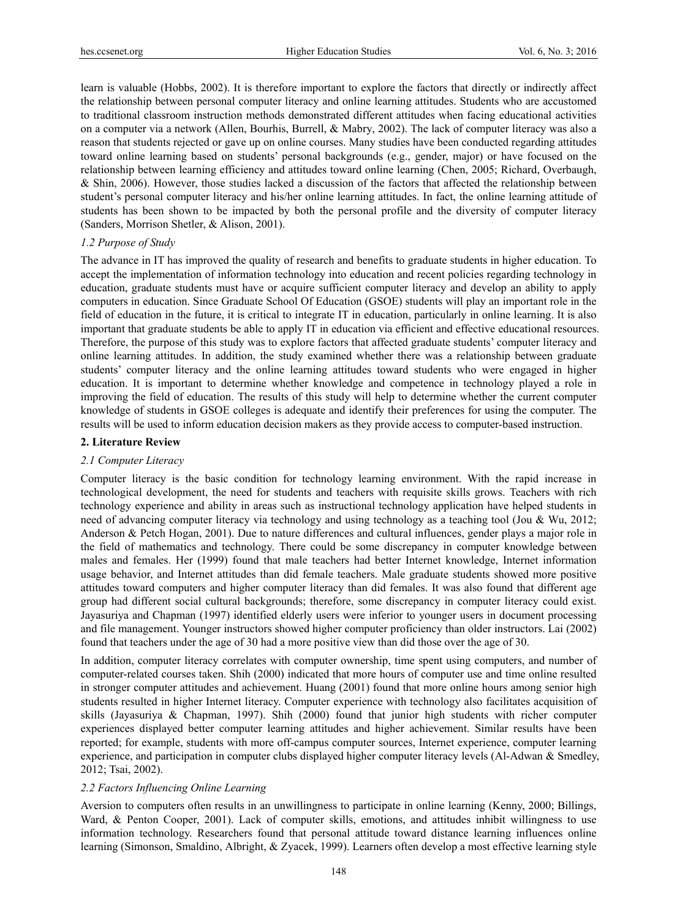learn is valuable (Hobbs, 2002). It is therefore important to explore the factors that directly or indirectly affect the relationship between personal computer literacy and online learning attitudes. Students who are accustomed to traditional classroom instruction methods demonstrated different attitudes when facing educational activities on a computer via a network (Allen, Bourhis, Burrell, & Mabry, 2002). The lack of computer literacy was also a reason that students rejected or gave up on online courses. Many studies have been conducted regarding attitudes toward online learning based on students' personal backgrounds (e.g., gender, major) or have focused on the relationship between learning efficiency and attitudes toward online learning (Chen, 2005; Richard, Overbaugh, & Shin, 2006). However, those studies lacked a discussion of the factors that affected the relationship between student's personal computer literacy and his/her online learning attitudes. In fact, the online learning attitude of students has been shown to be impacted by both the personal profile and the diversity of computer literacy (Sanders, Morrison Shetler, & Alison, 2001).

# *1.2 Purpose of Study*

The advance in IT has improved the quality of research and benefits to graduate students in higher education. To accept the implementation of information technology into education and recent policies regarding technology in education, graduate students must have or acquire sufficient computer literacy and develop an ability to apply computers in education. Since Graduate School Of Education (GSOE) students will play an important role in the field of education in the future, it is critical to integrate IT in education, particularly in online learning. It is also important that graduate students be able to apply IT in education via efficient and effective educational resources. Therefore, the purpose of this study was to explore factors that affected graduate students' computer literacy and online learning attitudes. In addition, the study examined whether there was a relationship between graduate students' computer literacy and the online learning attitudes toward students who were engaged in higher education. It is important to determine whether knowledge and competence in technology played a role in improving the field of education. The results of this study will help to determine whether the current computer knowledge of students in GSOE colleges is adequate and identify their preferences for using the computer. The results will be used to inform education decision makers as they provide access to computer-based instruction.

#### **2. Literature Review**

### *2.1 Computer Literacy*

Computer literacy is the basic condition for technology learning environment. With the rapid increase in technological development, the need for students and teachers with requisite skills grows. Teachers with rich technology experience and ability in areas such as instructional technology application have helped students in need of advancing computer literacy via technology and using technology as a teaching tool (Jou & Wu, 2012; Anderson & Petch Hogan, 2001). Due to nature differences and cultural influences, gender plays a major role in the field of mathematics and technology. There could be some discrepancy in computer knowledge between males and females. Her (1999) found that male teachers had better Internet knowledge, Internet information usage behavior, and Internet attitudes than did female teachers. Male graduate students showed more positive attitudes toward computers and higher computer literacy than did females. It was also found that different age group had different social cultural backgrounds; therefore, some discrepancy in computer literacy could exist. Jayasuriya and Chapman (1997) identified elderly users were inferior to younger users in document processing and file management. Younger instructors showed higher computer proficiency than older instructors. Lai (2002) found that teachers under the age of 30 had a more positive view than did those over the age of 30.

In addition, computer literacy correlates with computer ownership, time spent using computers, and number of computer-related courses taken. Shih (2000) indicated that more hours of computer use and time online resulted in stronger computer attitudes and achievement. Huang (2001) found that more online hours among senior high students resulted in higher Internet literacy. Computer experience with technology also facilitates acquisition of skills (Jayasuriya & Chapman, 1997). Shih (2000) found that junior high students with richer computer experiences displayed better computer learning attitudes and higher achievement. Similar results have been reported; for example, students with more off-campus computer sources, Internet experience, computer learning experience, and participation in computer clubs displayed higher computer literacy levels (Al-Adwan & Smedley, 2012; Tsai, 2002).

#### *2.2 Factors Influencing Online Learning*

Aversion to computers often results in an unwillingness to participate in online learning (Kenny, 2000; Billings, Ward, & Penton Cooper, 2001). Lack of computer skills, emotions, and attitudes inhibit willingness to use information technology. Researchers found that personal attitude toward distance learning influences online learning (Simonson, Smaldino, Albright, & Zyacek, 1999). Learners often develop a most effective learning style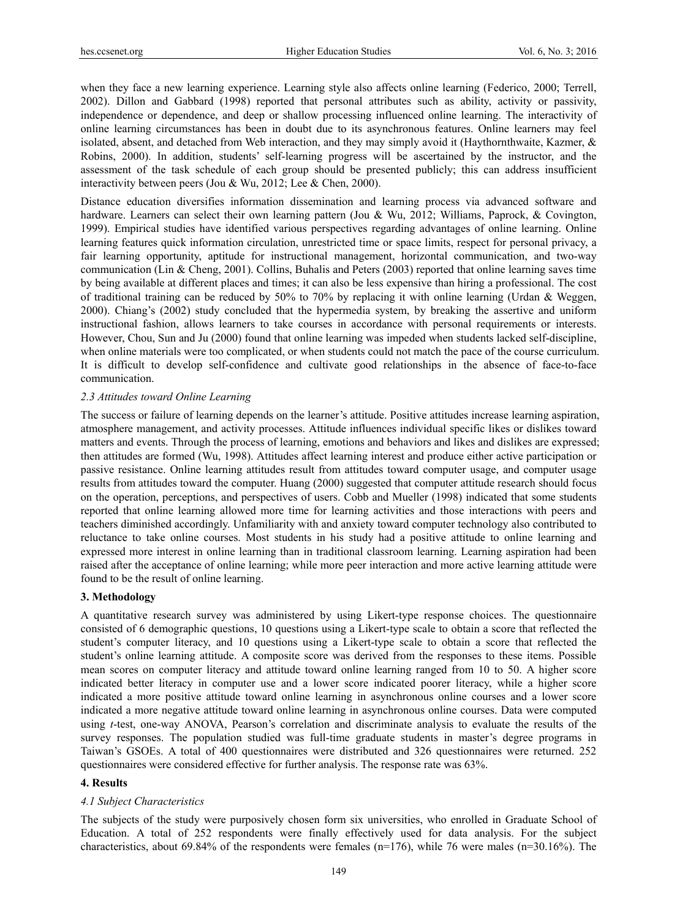when they face a new learning experience. Learning style also affects online learning (Federico, 2000; Terrell, 2002). Dillon and Gabbard (1998) reported that personal attributes such as ability, activity or passivity, independence or dependence, and deep or shallow processing influenced online learning. The interactivity of online learning circumstances has been in doubt due to its asynchronous features. Online learners may feel isolated, absent, and detached from Web interaction, and they may simply avoid it (Haythornthwaite, Kazmer, & Robins, 2000). In addition, students' self-learning progress will be ascertained by the instructor, and the assessment of the task schedule of each group should be presented publicly; this can address insufficient interactivity between peers (Jou & Wu, 2012; Lee & Chen, 2000).

Distance education diversifies information dissemination and learning process via advanced software and hardware. Learners can select their own learning pattern (Jou & Wu, 2012; Williams, Paprock, & Covington, 1999). Empirical studies have identified various perspectives regarding advantages of online learning. Online learning features quick information circulation, unrestricted time or space limits, respect for personal privacy, a fair learning opportunity, aptitude for instructional management, horizontal communication, and two-way communication (Lin & Cheng, 2001). Collins, Buhalis and Peters (2003) reported that online learning saves time by being available at different places and times; it can also be less expensive than hiring a professional. The cost of traditional training can be reduced by 50% to 70% by replacing it with online learning (Urdan & Weggen, 2000). Chiang's (2002) study concluded that the hypermedia system, by breaking the assertive and uniform instructional fashion, allows learners to take courses in accordance with personal requirements or interests. However, Chou, Sun and Ju (2000) found that online learning was impeded when students lacked self-discipline, when online materials were too complicated, or when students could not match the pace of the course curriculum. It is difficult to develop self-confidence and cultivate good relationships in the absence of face-to-face communication.

### *2.3 Attitudes toward Online Learning*

The success or failure of learning depends on the learner's attitude. Positive attitudes increase learning aspiration, atmosphere management, and activity processes. Attitude influences individual specific likes or dislikes toward matters and events. Through the process of learning, emotions and behaviors and likes and dislikes are expressed; then attitudes are formed (Wu, 1998). Attitudes affect learning interest and produce either active participation or passive resistance. Online learning attitudes result from attitudes toward computer usage, and computer usage results from attitudes toward the computer. Huang (2000) suggested that computer attitude research should focus on the operation, perceptions, and perspectives of users. Cobb and Mueller (1998) indicated that some students reported that online learning allowed more time for learning activities and those interactions with peers and teachers diminished accordingly. Unfamiliarity with and anxiety toward computer technology also contributed to reluctance to take online courses. Most students in his study had a positive attitude to online learning and expressed more interest in online learning than in traditional classroom learning. Learning aspiration had been raised after the acceptance of online learning; while more peer interaction and more active learning attitude were found to be the result of online learning.

### **3. Methodology**

A quantitative research survey was administered by using Likert-type response choices. The questionnaire consisted of 6 demographic questions, 10 questions using a Likert-type scale to obtain a score that reflected the student's computer literacy, and 10 questions using a Likert-type scale to obtain a score that reflected the student's online learning attitude. A composite score was derived from the responses to these items. Possible mean scores on computer literacy and attitude toward online learning ranged from 10 to 50. A higher score indicated better literacy in computer use and a lower score indicated poorer literacy, while a higher score indicated a more positive attitude toward online learning in asynchronous online courses and a lower score indicated a more negative attitude toward online learning in asynchronous online courses. Data were computed using *t*-test, one-way ANOVA, Pearson's correlation and discriminate analysis to evaluate the results of the survey responses. The population studied was full-time graduate students in master's degree programs in Taiwan's GSOEs. A total of 400 questionnaires were distributed and 326 questionnaires were returned. 252 questionnaires were considered effective for further analysis. The response rate was 63%.

### **4. Results**

#### *4.1 Subject Characteristics*

The subjects of the study were purposively chosen form six universities, who enrolled in Graduate School of Education. A total of 252 respondents were finally effectively used for data analysis. For the subject characteristics, about 69.84% of the respondents were females  $(n=176)$ , while 76 were males  $(n=30.16\%)$ . The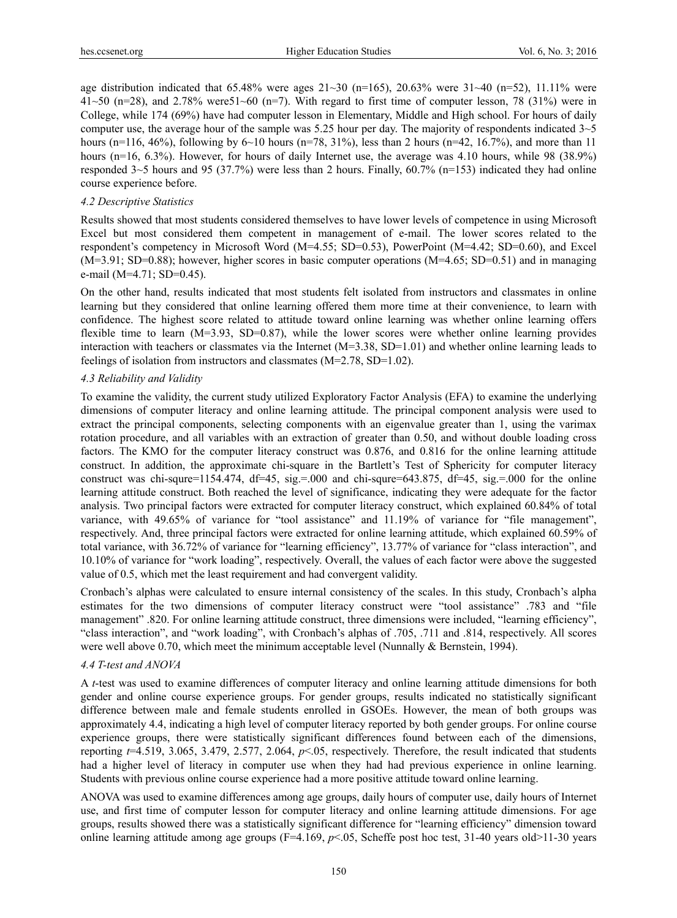age distribution indicated that  $65.48\%$  were ages  $21~30$  (n=165),  $20.63\%$  were  $31~40$  (n=52), 11.11% were  $41~50$  (n=28), and 2.78% were  $51~60$  (n=7). With regard to first time of computer lesson, 78 (31%) were in College, while 174 (69%) have had computer lesson in Elementary, Middle and High school. For hours of daily computer use, the average hour of the sample was 5.25 hour per day. The majority of respondents indicated 3~5 hours (n=116, 46%), following by 6~10 hours (n=78, 31%), less than 2 hours (n=42, 16.7%), and more than 11 hours (n=16, 6.3%). However, for hours of daily Internet use, the average was 4.10 hours, while 98 (38.9%) responded 3~5 hours and 95 (37.7%) were less than 2 hours. Finally, 60.7% (n=153) indicated they had online course experience before.

# *4.2 Descriptive Statistics*

Results showed that most students considered themselves to have lower levels of competence in using Microsoft Excel but most considered them competent in management of e-mail. The lower scores related to the respondent's competency in Microsoft Word (M=4.55; SD=0.53), PowerPoint (M=4.42; SD=0.60), and Excel (M=3.91; SD=0.88); however, higher scores in basic computer operations (M=4.65; SD=0.51) and in managing e-mail (M=4.71; SD=0.45).

On the other hand, results indicated that most students felt isolated from instructors and classmates in online learning but they considered that online learning offered them more time at their convenience, to learn with confidence. The highest score related to attitude toward online learning was whether online learning offers flexible time to learn  $(M=3.93, SD=0.87)$ , while the lower scores were whether online learning provides interaction with teachers or classmates via the Internet  $(M=3.38, SD=1.01)$  and whether online learning leads to feelings of isolation from instructors and classmates (M=2.78, SD=1.02).

# *4.3 Reliability and Validity*

To examine the validity, the current study utilized Exploratory Factor Analysis (EFA) to examine the underlying dimensions of computer literacy and online learning attitude. The principal component analysis were used to extract the principal components, selecting components with an eigenvalue greater than 1, using the varimax rotation procedure, and all variables with an extraction of greater than 0.50, and without double loading cross factors. The KMO for the computer literacy construct was 0.876, and 0.816 for the online learning attitude construct. In addition, the approximate chi-square in the Bartlett's Test of Sphericity for computer literacy construct was chi-squre=1154.474, df=45, sig.=.000 and chi-squre=643.875, df=45, sig.=.000 for the online learning attitude construct. Both reached the level of significance, indicating they were adequate for the factor analysis. Two principal factors were extracted for computer literacy construct, which explained 60.84% of total variance, with 49.65% of variance for "tool assistance" and 11.19% of variance for "file management", respectively. And, three principal factors were extracted for online learning attitude, which explained 60.59% of total variance, with 36.72% of variance for "learning efficiency", 13.77% of variance for "class interaction", and 10.10% of variance for "work loading", respectively. Overall, the values of each factor were above the suggested value of 0.5, which met the least requirement and had convergent validity.

Cronbach's alphas were calculated to ensure internal consistency of the scales. In this study, Cronbach's alpha estimates for the two dimensions of computer literacy construct were "tool assistance" .783 and "file management" .820. For online learning attitude construct, three dimensions were included, "learning efficiency", "class interaction", and "work loading", with Cronbach's alphas of .705, .711 and .814, respectively. All scores were well above 0.70, which meet the minimum acceptable level (Nunnally & Bernstein, 1994).

# *4.4 T-test and ANOVA*

A *t*-test was used to examine differences of computer literacy and online learning attitude dimensions for both gender and online course experience groups. For gender groups, results indicated no statistically significant difference between male and female students enrolled in GSOEs. However, the mean of both groups was approximately 4.4, indicating a high level of computer literacy reported by both gender groups. For online course experience groups, there were statistically significant differences found between each of the dimensions, reporting *t*=4.519, 3.065, 3.479, 2.577, 2.064, *p*<.05, respectively. Therefore, the result indicated that students had a higher level of literacy in computer use when they had had previous experience in online learning. Students with previous online course experience had a more positive attitude toward online learning.

ANOVA was used to examine differences among age groups, daily hours of computer use, daily hours of Internet use, and first time of computer lesson for computer literacy and online learning attitude dimensions. For age groups, results showed there was a statistically significant difference for "learning efficiency" dimension toward online learning attitude among age groups (F=4.169,  $p<0.05$ , Scheffe post hoc test, 31-40 years old>11-30 years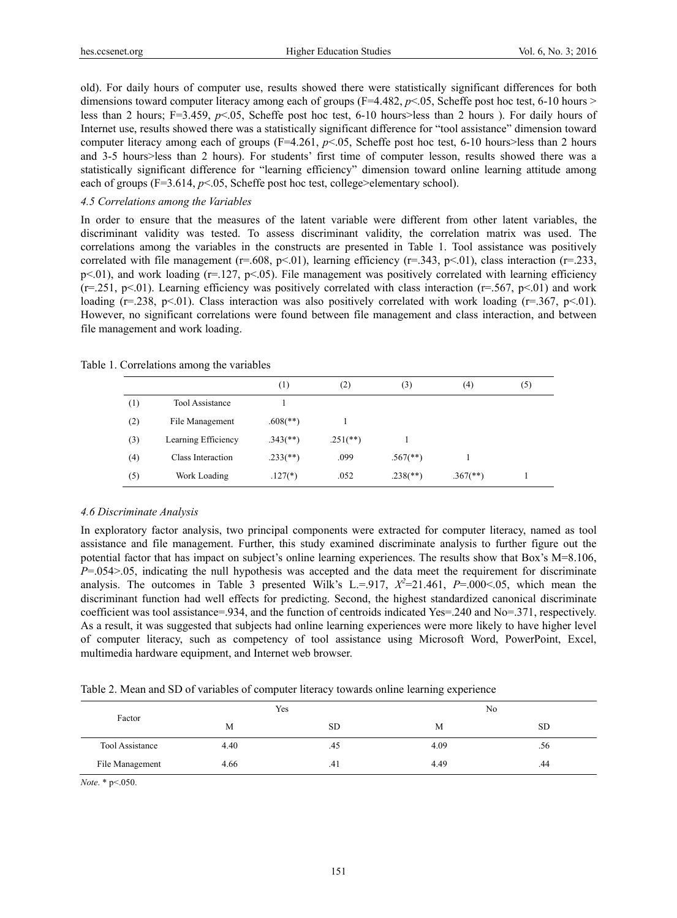old). For daily hours of computer use, results showed there were statistically significant differences for both dimensions toward computer literacy among each of groups (F=4.482,  $p$ <.05, Scheffe post hoc test, 6-10 hours > less than 2 hours; F=3.459, *p*<.05, Scheffe post hoc test, 6-10 hours>less than 2 hours ). For daily hours of Internet use, results showed there was a statistically significant difference for "tool assistance" dimension toward computer literacy among each of groups (F=4.261, *p*<.05, Scheffe post hoc test, 6-10 hours>less than 2 hours and 3-5 hours>less than 2 hours). For students' first time of computer lesson, results showed there was a statistically significant difference for "learning efficiency" dimension toward online learning attitude among each of groups  $(F=3.614, p<0.05)$ , Scheffe post hoc test, college>elementary school).

# *4.5 Correlations among the Variables*

In order to ensure that the measures of the latent variable were different from other latent variables, the discriminant validity was tested. To assess discriminant validity, the correlation matrix was used. The correlations among the variables in the constructs are presented in Table 1. Tool assistance was positively correlated with file management (r=.608, p<.01), learning efficiency (r=.343, p<.01), class interaction (r=.233,  $p<.01$ ), and work loading ( $r=.127$ ,  $p<.05$ ). File management was positively correlated with learning efficiency  $(r=251, p<01)$ . Learning efficiency was positively correlated with class interaction  $(r=567, p<01)$  and work loading ( $r=0.238$ ,  $p<01$ ). Class interaction was also positively correlated with work loading ( $r=0.367$ ,  $p<01$ ). However, no significant correlations were found between file management and class interaction, and between file management and work loading.

Table 1. Correlations among the variables

|          |                        | $^{(1)}$                 | (2)         | (3)                      | (4)                    | (5) |
|----------|------------------------|--------------------------|-------------|--------------------------|------------------------|-----|
| $^{(1)}$ | <b>Tool Assistance</b> |                          |             |                          |                        |     |
| (2)      | File Management        | $.608$ <sup>(**)</sup> ) |             |                          |                        |     |
| (3)      | Learning Efficiency    | $.343$ <sup>(**)</sup> ) | $.251$ (**) |                          |                        |     |
| (4)      | Class Interaction      | $.233$ <sup>(**)</sup> ) | .099        | $.567$ <sup>**</sup> )   |                        |     |
| (5)      | Work Loading           | $.127(*)$                | .052        | $.238$ <sup>(**)</sup> ) | $.367$ <sup>**</sup> ) |     |

#### *4.6 Discriminate Analysis*

In exploratory factor analysis, two principal components were extracted for computer literacy, named as tool assistance and file management. Further, this study examined discriminate analysis to further figure out the potential factor that has impact on subject's online learning experiences. The results show that Box's M=8.106, *P*=.054>.05, indicating the null hypothesis was accepted and the data meet the requirement for discriminate analysis. The outcomes in Table 3 presented Wilk's L.=.917,  $X^2=21.461$ ,  $P=.000<0.05$ , which mean the discriminant function had well effects for predicting. Second, the highest standardized canonical discriminate coefficient was tool assistance=.934, and the function of centroids indicated Yes=.240 and No=.371, respectively. As a result, it was suggested that subjects had online learning experiences were more likely to have higher level of computer literacy, such as competency of tool assistance using Microsoft Word, PowerPoint, Excel, multimedia hardware equipment, and Internet web browser.

Table 2. Mean and SD of variables of computer literacy towards online learning experience

| Factor          |      | Yes       | No   |           |
|-----------------|------|-----------|------|-----------|
|                 | М    | <b>SD</b> | M    | <b>SD</b> |
| Tool Assistance | 4.40 | .45       | 4.09 | .56       |
| File Management | 4.66 | .41       | 4.49 | .44       |

*Note*. \* p<.050.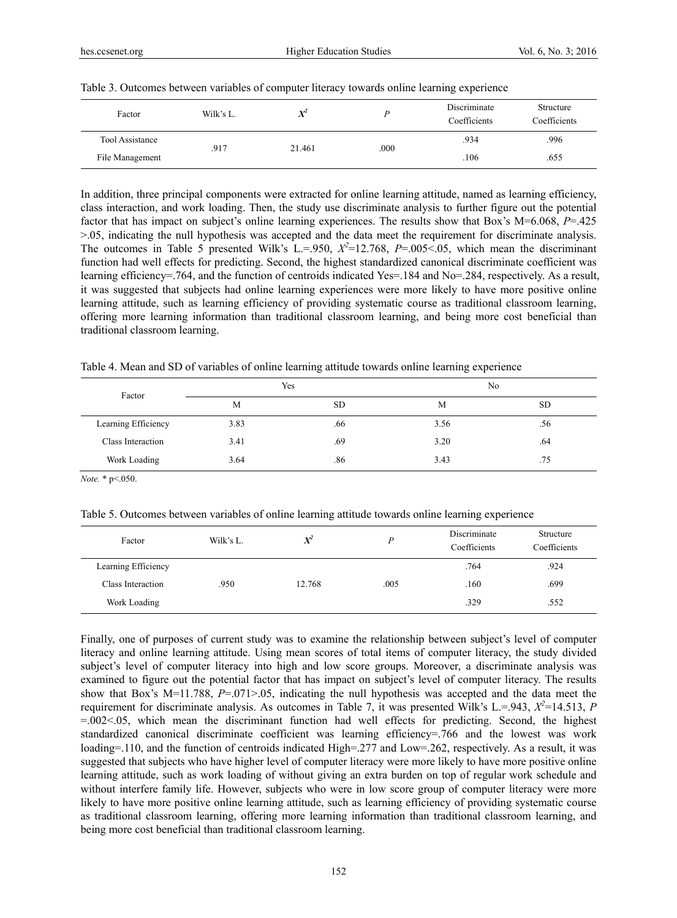| Factor          | Wilk's L. | $X^2$  |      | Discriminate<br>Coefficients | Structure<br>Coefficients |
|-----------------|-----------|--------|------|------------------------------|---------------------------|
| Tool Assistance | .917      | 21.461 | .000 | .934                         | .996                      |
| File Management |           |        |      | .106                         | .655                      |

|  |  |  |  |  | Table 3. Outcomes between variables of computer literacy towards online learning experience |
|--|--|--|--|--|---------------------------------------------------------------------------------------------|
|  |  |  |  |  |                                                                                             |
|  |  |  |  |  |                                                                                             |

In addition, three principal components were extracted for online learning attitude, named as learning efficiency, class interaction, and work loading. Then, the study use discriminate analysis to further figure out the potential factor that has impact on subject's online learning experiences. The results show that Box's M=6.068, *P*=.425 >.05, indicating the null hypothesis was accepted and the data meet the requirement for discriminate analysis. The outcomes in Table 5 presented Wilk's L.=.950,  $X^2$ =12.768,  $P$ =.005<.05, which mean the discriminant function had well effects for predicting. Second, the highest standardized canonical discriminate coefficient was learning efficiency=.764, and the function of centroids indicated Yes=.184 and No=.284, respectively. As a result, it was suggested that subjects had online learning experiences were more likely to have more positive online learning attitude, such as learning efficiency of providing systematic course as traditional classroom learning, offering more learning information than traditional classroom learning, and being more cost beneficial than traditional classroom learning.

Table 4. Mean and SD of variables of online learning attitude towards online learning experience

| Factor              |      | Yes |      | No        |
|---------------------|------|-----|------|-----------|
|                     | M    | SD  | M    | <b>SD</b> |
| Learning Efficiency | 3.83 | .66 | 3.56 | .56       |
| Class Interaction   | 3.41 | .69 | 3.20 | .64       |
| Work Loading        | 3.64 | .86 | 3.43 | .75       |

*Note.* \* p<.050.

Table 5. Outcomes between variables of online learning attitude towards online learning experience

| Factor              | Wilk's L. | $X^2$  |      | Discriminate<br>Coefficients | Structure<br>Coefficients |
|---------------------|-----------|--------|------|------------------------------|---------------------------|
| Learning Efficiency |           |        |      | .764                         | .924                      |
| Class Interaction   | .950      | 12.768 | .005 | .160                         | .699                      |
| Work Loading        |           |        |      | .329                         | .552                      |

Finally, one of purposes of current study was to examine the relationship between subject's level of computer literacy and online learning attitude. Using mean scores of total items of computer literacy, the study divided subject's level of computer literacy into high and low score groups. Moreover, a discriminate analysis was examined to figure out the potential factor that has impact on subject's level of computer literacy. The results show that Box's M=11.788, *P*=.071>.05, indicating the null hypothesis was accepted and the data meet the requirement for discriminate analysis. As outcomes in Table 7, it was presented Wilk's L.=.943,  $X^2$ =14.513, *P*  $=0.0025$ , which mean the discriminant function had well effects for predicting. Second, the highest standardized canonical discriminate coefficient was learning efficiency=.766 and the lowest was work loading=.110, and the function of centroids indicated High=.277 and Low=.262, respectively. As a result, it was suggested that subjects who have higher level of computer literacy were more likely to have more positive online learning attitude, such as work loading of without giving an extra burden on top of regular work schedule and without interfere family life. However, subjects who were in low score group of computer literacy were more likely to have more positive online learning attitude, such as learning efficiency of providing systematic course as traditional classroom learning, offering more learning information than traditional classroom learning, and being more cost beneficial than traditional classroom learning.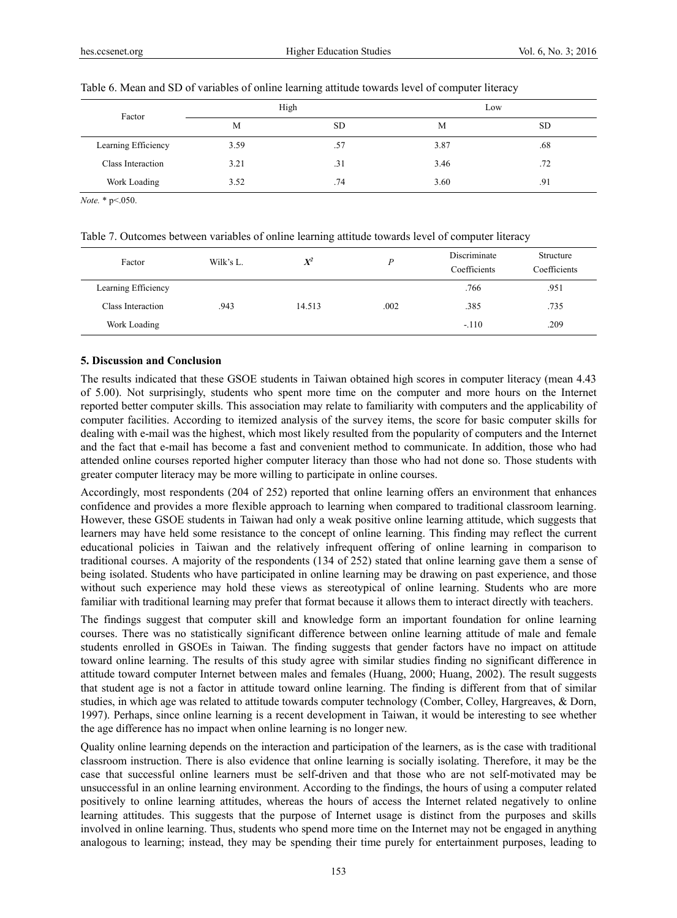| Factor              |      | High      |      | Low       |
|---------------------|------|-----------|------|-----------|
|                     | M    | <b>SD</b> | M    | <b>SD</b> |
| Learning Efficiency | 3.59 | .57       | 3.87 | .68       |
| Class Interaction   | 3.21 | .31       | 3.46 | .72       |
| Work Loading        | 3.52 | .74       | 3.60 | .91       |

#### Table 6. Mean and SD of variables of online learning attitude towards level of computer literacy

*Note.* \* p<.050.

Table 7. Outcomes between variables of online learning attitude towards level of computer literacy

| Factor              | Wilk's L. | $X^2$  |      | Discriminate<br>Coefficients | Structure<br>Coefficients |
|---------------------|-----------|--------|------|------------------------------|---------------------------|
| Learning Efficiency |           |        |      | .766                         | .951                      |
| Class Interaction   | .943      | 14.513 | .002 | .385                         | .735                      |
| Work Loading        |           |        |      | $-.110$                      | .209                      |

# **5. Discussion and Conclusion**

The results indicated that these GSOE students in Taiwan obtained high scores in computer literacy (mean 4.43 of 5.00). Not surprisingly, students who spent more time on the computer and more hours on the Internet reported better computer skills. This association may relate to familiarity with computers and the applicability of computer facilities. According to itemized analysis of the survey items, the score for basic computer skills for dealing with e-mail was the highest, which most likely resulted from the popularity of computers and the Internet and the fact that e-mail has become a fast and convenient method to communicate. In addition, those who had attended online courses reported higher computer literacy than those who had not done so. Those students with greater computer literacy may be more willing to participate in online courses.

Accordingly, most respondents (204 of 252) reported that online learning offers an environment that enhances confidence and provides a more flexible approach to learning when compared to traditional classroom learning. However, these GSOE students in Taiwan had only a weak positive online learning attitude, which suggests that learners may have held some resistance to the concept of online learning. This finding may reflect the current educational policies in Taiwan and the relatively infrequent offering of online learning in comparison to traditional courses. A majority of the respondents (134 of 252) stated that online learning gave them a sense of being isolated. Students who have participated in online learning may be drawing on past experience, and those without such experience may hold these views as stereotypical of online learning. Students who are more familiar with traditional learning may prefer that format because it allows them to interact directly with teachers.

The findings suggest that computer skill and knowledge form an important foundation for online learning courses. There was no statistically significant difference between online learning attitude of male and female students enrolled in GSOEs in Taiwan. The finding suggests that gender factors have no impact on attitude toward online learning. The results of this study agree with similar studies finding no significant difference in attitude toward computer Internet between males and females (Huang, 2000; Huang, 2002). The result suggests that student age is not a factor in attitude toward online learning. The finding is different from that of similar studies, in which age was related to attitude towards computer technology (Comber, Colley, Hargreaves, & Dorn, 1997). Perhaps, since online learning is a recent development in Taiwan, it would be interesting to see whether the age difference has no impact when online learning is no longer new.

Quality online learning depends on the interaction and participation of the learners, as is the case with traditional classroom instruction. There is also evidence that online learning is socially isolating. Therefore, it may be the case that successful online learners must be self-driven and that those who are not self-motivated may be unsuccessful in an online learning environment. According to the findings, the hours of using a computer related positively to online learning attitudes, whereas the hours of access the Internet related negatively to online learning attitudes. This suggests that the purpose of Internet usage is distinct from the purposes and skills involved in online learning. Thus, students who spend more time on the Internet may not be engaged in anything analogous to learning; instead, they may be spending their time purely for entertainment purposes, leading to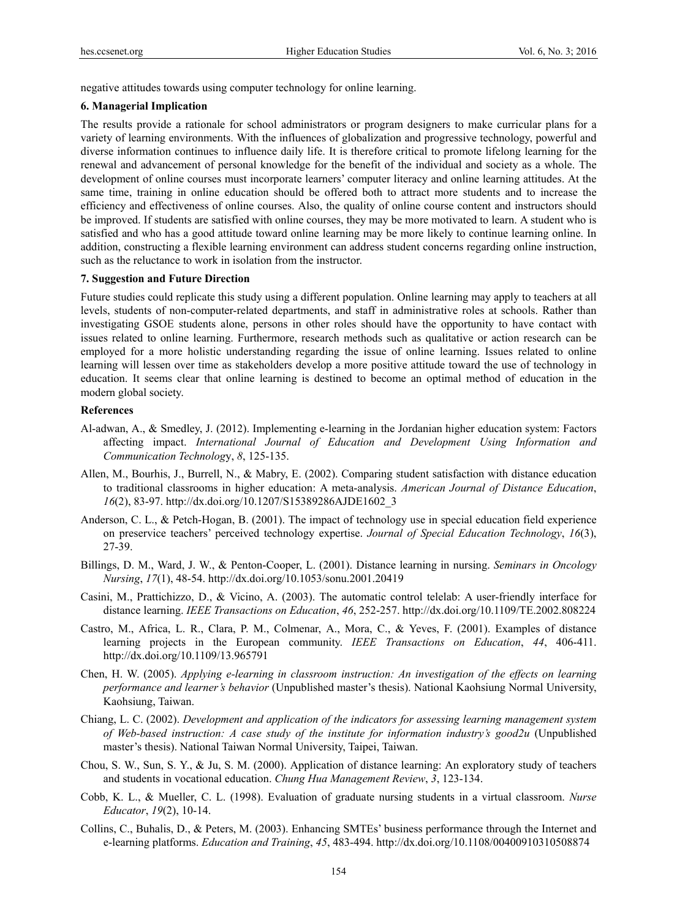negative attitudes towards using computer technology for online learning.

### **6. Managerial Implication**

The results provide a rationale for school administrators or program designers to make curricular plans for a variety of learning environments. With the influences of globalization and progressive technology, powerful and diverse information continues to influence daily life. It is therefore critical to promote lifelong learning for the renewal and advancement of personal knowledge for the benefit of the individual and society as a whole. The development of online courses must incorporate learners' computer literacy and online learning attitudes. At the same time, training in online education should be offered both to attract more students and to increase the efficiency and effectiveness of online courses. Also, the quality of online course content and instructors should be improved. If students are satisfied with online courses, they may be more motivated to learn. A student who is satisfied and who has a good attitude toward online learning may be more likely to continue learning online. In addition, constructing a flexible learning environment can address student concerns regarding online instruction, such as the reluctance to work in isolation from the instructor.

# **7. Suggestion and Future Direction**

Future studies could replicate this study using a different population. Online learning may apply to teachers at all levels, students of non-computer-related departments, and staff in administrative roles at schools. Rather than investigating GSOE students alone, persons in other roles should have the opportunity to have contact with issues related to online learning. Furthermore, research methods such as qualitative or action research can be employed for a more holistic understanding regarding the issue of online learning. Issues related to online learning will lessen over time as stakeholders develop a more positive attitude toward the use of technology in education. It seems clear that online learning is destined to become an optimal method of education in the modern global society.

# **References**

- Al-adwan, A., & Smedley, J. (2012). Implementing e-learning in the Jordanian higher education system: Factors affecting impact. *International Journal of Education and Development Using Information and Communication Technolog*y, *8*, 125-135.
- Allen, M., Bourhis, J., Burrell, N., & Mabry, E. (2002). Comparing student satisfaction with distance education to traditional classrooms in higher education: A meta-analysis. *American Journal of Distance Education*, *16*(2), 83-97. http://dx.doi.org/10.1207/S15389286AJDE1602\_3
- Anderson, C. L., & Petch-Hogan, B. (2001). The impact of technology use in special education field experience on preservice teachers' perceived technology expertise. *Journal of Special Education Technology*, *16*(3), 27-39.
- Billings, D. M., Ward, J. W., & Penton-Cooper, L. (2001). Distance learning in nursing. *Seminars in Oncology Nursing*, *17*(1), 48-54. http://dx.doi.org/10.1053/sonu.2001.20419
- Casini, M., Prattichizzo, D., & Vicino, A. (2003). The automatic control telelab: A user-friendly interface for distance learning. *IEEE Transactions on Education*, *46*, 252-257. http://dx.doi.org/10.1109/TE.2002.808224
- Castro, M., Africa, L. R., Clara, P. M., Colmenar, A., Mora, C., & Yeves, F. (2001). Examples of distance learning projects in the European community. *IEEE Transactions on Education*, *44*, 406-411. http://dx.doi.org/10.1109/13.965791
- Chen, H. W. (2005). *Applying e-learning in classroom instruction: An investigation of the effects on learning performance and learner's behavior* (Unpublished master's thesis). National Kaohsiung Normal University, Kaohsiung, Taiwan.
- Chiang, L. C. (2002). *Development and application of the indicators for assessing learning management system of Web-based instruction: A case study of the institute for information industry's good2u* (Unpublished master's thesis). National Taiwan Normal University, Taipei, Taiwan.
- Chou, S. W., Sun, S. Y., & Ju, S. M. (2000). Application of distance learning: An exploratory study of teachers and students in vocational education. *Chung Hua Management Review*, *3*, 123-134.
- Cobb, K. L., & Mueller, C. L. (1998). Evaluation of graduate nursing students in a virtual classroom. *Nurse Educator*, *19*(2), 10-14.
- Collins, C., Buhalis, D., & Peters, M. (2003). Enhancing SMTEs' business performance through the Internet and e-learning platforms. *Education and Training*, *45*, 483-494. http://dx.doi.org/10.1108/00400910310508874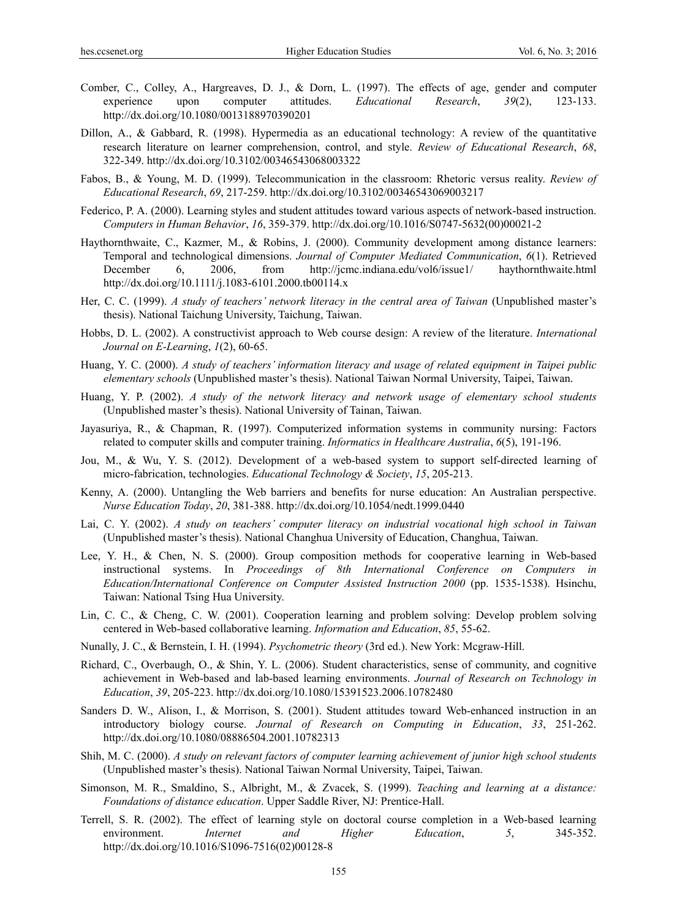- Comber, C., Colley, A., Hargreaves, D. J., & Dorn, L. (1997). The effects of age, gender and computer experience upon computer attitudes. *Educational Research*, *39*(2), 123-133. http://dx.doi.org/10.1080/0013188970390201
- Dillon, A., & Gabbard, R. (1998). Hypermedia as an educational technology: A review of the quantitative research literature on learner comprehension, control, and style. *Review of Educational Research*, *68*, 322-349. http://dx.doi.org/10.3102/00346543068003322
- Fabos, B., & Young, M. D. (1999). Telecommunication in the classroom: Rhetoric versus reality. *Review of Educational Research*, *69*, 217-259. http://dx.doi.org/10.3102/00346543069003217
- Federico, P. A. (2000). Learning styles and student attitudes toward various aspects of network-based instruction. *Computers in Human Behavior*, *16*, 359-379. http://dx.doi.org/10.1016/S0747-5632(00)00021-2
- Haythornthwaite, C., Kazmer, M., & Robins, J. (2000). Community development among distance learners: Temporal and technological dimensions. *Journal of Computer Mediated Communication*, *6*(1). Retrieved December 6, 2006, from http://jcmc.indiana.edu/vol6/issue1/ haythornthwaite.html http://dx.doi.org/10.1111/j.1083-6101.2000.tb00114.x
- Her, C. C. (1999). *A study of teachers' network literacy in the central area of Taiwan* (Unpublished master's thesis). National Taichung University, Taichung, Taiwan.
- Hobbs, D. L. (2002). A constructivist approach to Web course design: A review of the literature. *International Journal on E-Learning*, *1*(2), 60-65.
- Huang, Y. C. (2000). *A study of teachers' information literacy and usage of related equipment in Taipei public elementary schools* (Unpublished master's thesis). National Taiwan Normal University, Taipei, Taiwan.
- Huang, Y. P. (2002). *A study of the network literacy and network usage of elementary school students*  (Unpublished master's thesis). National University of Tainan, Taiwan.
- Jayasuriya, R., & Chapman, R. (1997). Computerized information systems in community nursing: Factors related to computer skills and computer training. *Informatics in Healthcare Australia*, *6*(5), 191-196.
- Jou, M., & Wu, Y. S. (2012). Development of a web-based system to support self-directed learning of micro-fabrication, technologies. *Educational Technology & Society*, *15*, 205-213.
- Kenny, A. (2000). Untangling the Web barriers and benefits for nurse education: An Australian perspective. *Nurse Education Today*, *20*, 381-388. http://dx.doi.org/10.1054/nedt.1999.0440
- Lai, C. Y. (2002). *A study on teachers' computer literacy on industrial vocational high school in Taiwan* (Unpublished master's thesis). National Changhua University of Education, Changhua, Taiwan.
- Lee, Y. H., & Chen, N. S. (2000). Group composition methods for cooperative learning in Web-based instructional systems. In *Proceedings of 8th International Conference on Computers in Education/International Conference on Computer Assisted Instruction 2000* (pp. 1535-1538). Hsinchu, Taiwan: National Tsing Hua University.
- Lin, C. C., & Cheng, C. W. (2001). Cooperation learning and problem solving: Develop problem solving centered in Web-based collaborative learning. *Information and Education*, *85*, 55-62.
- Nunally, J. C., & Bernstein, I. H. (1994). *Psychometric theory* (3rd ed.). New York: Mcgraw-Hill.
- Richard, C., Overbaugh, O., & Shin, Y. L. (2006). Student characteristics, sense of community, and cognitive achievement in Web-based and lab-based learning environments. *Journal of Research on Technology in Education*, *39*, 205-223. http://dx.doi.org/10.1080/15391523.2006.10782480
- Sanders D. W., Alison, I., & Morrison, S. (2001). Student attitudes toward Web-enhanced instruction in an introductory biology course. *Journal of Research on Computing in Education*, *33*, 251-262. http://dx.doi.org/10.1080/08886504.2001.10782313
- Shih, M. C. (2000). *A study on relevant factors of computer learning achievement of junior high school students* (Unpublished master's thesis). National Taiwan Normal University, Taipei, Taiwan.
- Simonson, M. R., Smaldino, S., Albright, M., & Zvacek, S. (1999). *Teaching and learning at a distance: Foundations of distance education*. Upper Saddle River, NJ: Prentice-Hall.
- Terrell, S. R. (2002). The effect of learning style on doctoral course completion in a Web-based learning environment. *Internet and Higher Education*, *5*, 345-352. http://dx.doi.org/10.1016/S1096-7516(02)00128-8